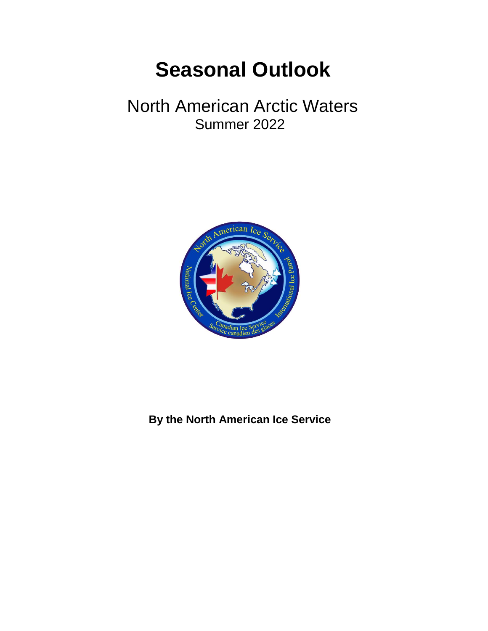# **Seasonal Outlook**

# North American Arctic Waters Summer 2022



**By the North American Ice Service**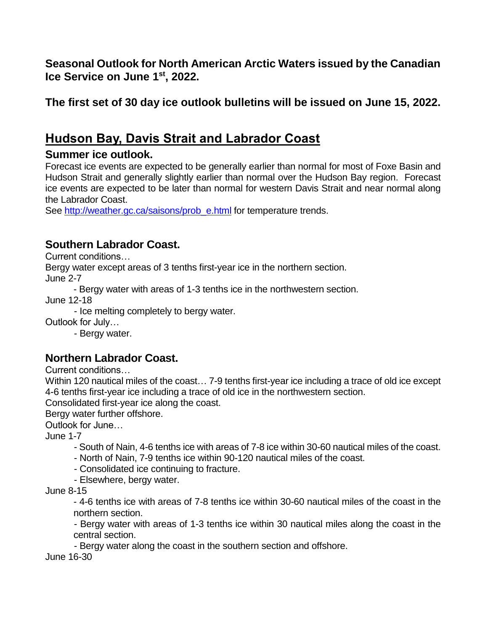**Seasonal Outlook for North American Arctic Waters issued by the Canadian Ice Service on June 1st , 2022.** 

**The first set of 30 day ice outlook bulletins will be issued on June 15, 2022.**

# **Hudson Bay, Davis Strait and Labrador Coast**

#### **Summer ice outlook.**

Forecast ice events are expected to be generally earlier than normal for most of Foxe Basin and Hudson Strait and generally slightly earlier than normal over the Hudson Bay region. Forecast ice events are expected to be later than normal for western Davis Strait and near normal along the Labrador Coast.

See [http://weather.gc.ca/saisons/prob\\_e.html](http://weather.gc.ca/saisons/prob_e.html) for temperature trends.

### **Southern Labrador Coast.**

Current conditions…

Bergy water except areas of 3 tenths first-year ice in the northern section.

June 2-7

- Bergy water with areas of 1-3 tenths ice in the northwestern section.

June 12-18

- Ice melting completely to bergy water.

Outlook for July…

- Bergy water.

#### **Northern Labrador Coast.**

Current conditions…

Within 120 nautical miles of the coast… 7-9 tenths first-year ice including a trace of old ice except 4-6 tenths first-year ice including a trace of old ice in the northwestern section.

Consolidated first-year ice along the coast.

Bergy water further offshore.

Outlook for June…

June 1-7

- South of Nain, 4-6 tenths ice with areas of 7-8 ice within 30-60 nautical miles of the coast.

- North of Nain, 7-9 tenths ice within 90-120 nautical miles of the coast.

- Consolidated ice continuing to fracture.

- Elsewhere, bergy water.

June 8-15

- 4-6 tenths ice with areas of 7-8 tenths ice within 30-60 nautical miles of the coast in the northern section.

- Bergy water with areas of 1-3 tenths ice within 30 nautical miles along the coast in the central section.

- Bergy water along the coast in the southern section and offshore.

June 16-30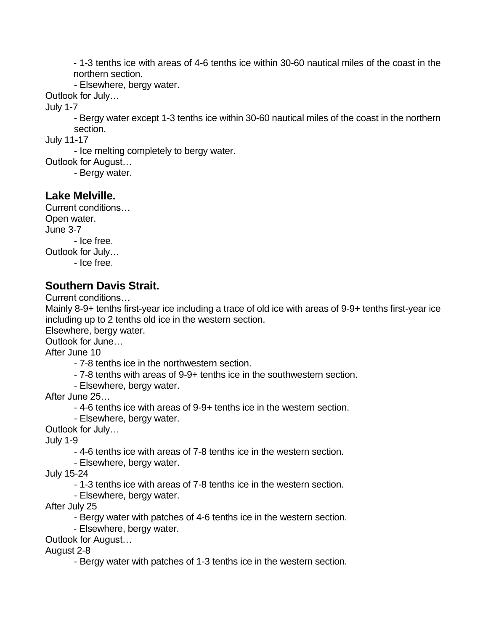- 1-3 tenths ice with areas of 4-6 tenths ice within 30-60 nautical miles of the coast in the northern section.

- Elsewhere, bergy water.

Outlook for July…

July 1-7

- Bergy water except 1-3 tenths ice within 30-60 nautical miles of the coast in the northern section.

July 11-17

- Ice melting completely to bergy water.

Outlook for August…

- Bergy water.

#### **Lake Melville.**

Current conditions… Open water. June 3-7 - Ice free. Outlook for July… - Ice free.

#### **Southern Davis Strait.**

Current conditions…

Mainly 8-9+ tenths first-year ice including a trace of old ice with areas of 9-9+ tenths first-year ice including up to 2 tenths old ice in the western section.

Elsewhere, bergy water.

Outlook for June…

After June 10

- 7-8 tenths ice in the northwestern section.
- 7-8 tenths with areas of 9-9+ tenths ice in the southwestern section.
- Elsewhere, bergy water.

After June 25…

- 4-6 tenths ice with areas of 9-9+ tenths ice in the western section.
- Elsewhere, bergy water.

Outlook for July…

July 1-9

- 4-6 tenths ice with areas of 7-8 tenths ice in the western section.

- Elsewhere, bergy water.

July 15-24

- 1-3 tenths ice with areas of 7-8 tenths ice in the western section.

- Elsewhere, bergy water.

After July 25

- Bergy water with patches of 4-6 tenths ice in the western section.

- Elsewhere, bergy water.

Outlook for August…

August 2-8

- Bergy water with patches of 1-3 tenths ice in the western section.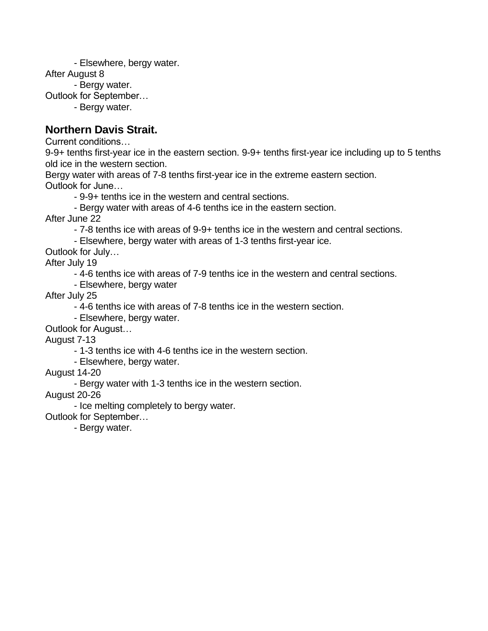- Elsewhere, bergy water.

After August 8

- Bergy water.

Outlook for September…

- Bergy water.

#### **Northern Davis Strait.**

Current conditions…

9-9+ tenths first-year ice in the eastern section. 9-9+ tenths first-year ice including up to 5 tenths old ice in the western section.

Bergy water with areas of 7-8 tenths first-year ice in the extreme eastern section. Outlook for June…

- 9-9+ tenths ice in the western and central sections.

- Bergy water with areas of 4-6 tenths ice in the eastern section.

After June 22

- 7-8 tenths ice with areas of 9-9+ tenths ice in the western and central sections.

- Elsewhere, bergy water with areas of 1-3 tenths first-year ice.

Outlook for July…

After July 19

- 4-6 tenths ice with areas of 7-9 tenths ice in the western and central sections.

- Elsewhere, bergy water

After July 25

- 4-6 tenths ice with areas of 7-8 tenths ice in the western section.

- Elsewhere, bergy water.

Outlook for August…

August 7-13

- 1-3 tenths ice with 4-6 tenths ice in the western section.

- Elsewhere, bergy water.

August 14-20

- Bergy water with 1-3 tenths ice in the western section.

August 20-26

- Ice melting completely to bergy water.

Outlook for September…

- Bergy water.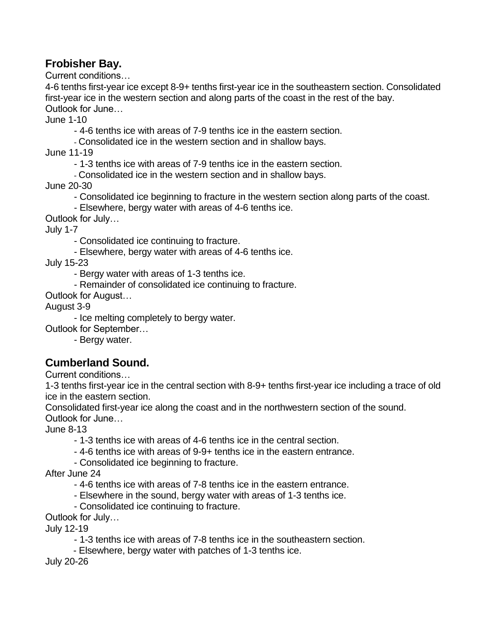#### **Frobisher Bay.**

Current conditions…

4-6 tenths first-year ice except 8-9+ tenths first-year ice in the southeastern section. Consolidated first-year ice in the western section and along parts of the coast in the rest of the bay. Outlook for June…

June 1-10

- 4-6 tenths ice with areas of 7-9 tenths ice in the eastern section.

- Consolidated ice in the western section and in shallow bays.

June 11-19

- 1-3 tenths ice with areas of 7-9 tenths ice in the eastern section.

- Consolidated ice in the western section and in shallow bays.

June 20-30

- Consolidated ice beginning to fracture in the western section along parts of the coast.

- Elsewhere, bergy water with areas of 4-6 tenths ice.

Outlook for July…

July 1-7

- Consolidated ice continuing to fracture.

- Elsewhere, bergy water with areas of 4-6 tenths ice.

July 15-23

- Bergy water with areas of 1-3 tenths ice.

- Remainder of consolidated ice continuing to fracture.

Outlook for August…

August 3-9

- Ice melting completely to bergy water.

Outlook for September…

- Bergy water.

#### **Cumberland Sound.**

Current conditions…

1-3 tenths first-year ice in the central section with 8-9+ tenths first-year ice including a trace of old ice in the eastern section.

Consolidated first-year ice along the coast and in the northwestern section of the sound. Outlook for June…

June 8-13

- 1-3 tenths ice with areas of 4-6 tenths ice in the central section.

- 4-6 tenths ice with areas of 9-9+ tenths ice in the eastern entrance.

- Consolidated ice beginning to fracture.

After June 24

- 4-6 tenths ice with areas of 7-8 tenths ice in the eastern entrance.

- Elsewhere in the sound, bergy water with areas of 1-3 tenths ice.

- Consolidated ice continuing to fracture.

Outlook for July…

July 12-19

- 1-3 tenths ice with areas of 7-8 tenths ice in the southeastern section.

- Elsewhere, bergy water with patches of 1-3 tenths ice.

July 20-26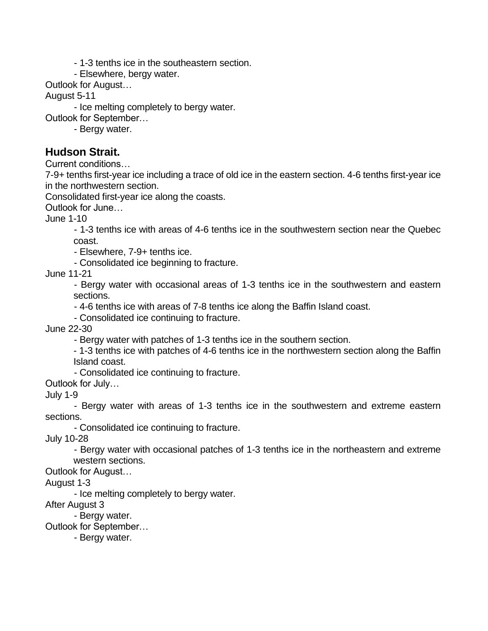- 1-3 tenths ice in the southeastern section.

- Elsewhere, bergy water.

Outlook for August…

August 5-11

- Ice melting completely to bergy water.

Outlook for September…

- Bergy water.

#### **Hudson Strait.**

Current conditions…

7-9+ tenths first-year ice including a trace of old ice in the eastern section. 4-6 tenths first-year ice in the northwestern section.

Consolidated first-year ice along the coasts.

Outlook for June…

June 1-10

- 1-3 tenths ice with areas of 4-6 tenths ice in the southwestern section near the Quebec coast.

- Elsewhere, 7-9+ tenths ice.

- Consolidated ice beginning to fracture.

June 11-21

- Bergy water with occasional areas of 1-3 tenths ice in the southwestern and eastern sections.

- 4-6 tenths ice with areas of 7-8 tenths ice along the Baffin Island coast.

- Consolidated ice continuing to fracture.

June 22-30

- Bergy water with patches of 1-3 tenths ice in the southern section.

- 1-3 tenths ice with patches of 4-6 tenths ice in the northwestern section along the Baffin Island coast.

- Consolidated ice continuing to fracture.

Outlook for July…

July 1-9

- Bergy water with areas of 1-3 tenths ice in the southwestern and extreme eastern sections.

- Consolidated ice continuing to fracture.

July 10-28

- Bergy water with occasional patches of 1-3 tenths ice in the northeastern and extreme western sections.

Outlook for August…

August 1-3

- Ice melting completely to bergy water.

After August 3

- Bergy water.

Outlook for September…

- Bergy water.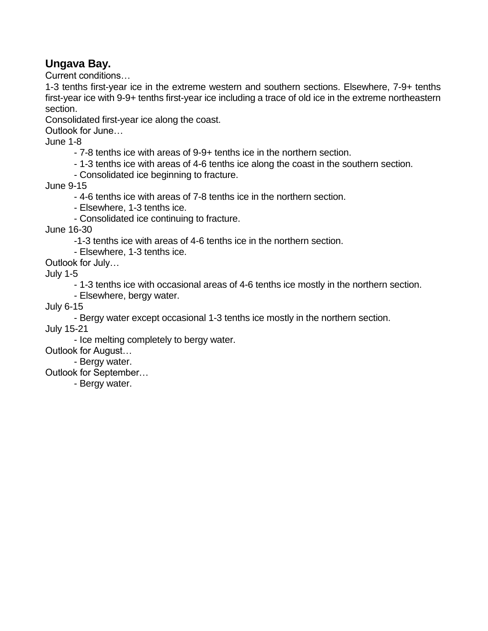#### **Ungava Bay.**

Current conditions…

1-3 tenths first-year ice in the extreme western and southern sections. Elsewhere, 7-9+ tenths first-year ice with 9-9+ tenths first-year ice including a trace of old ice in the extreme northeastern section.

Consolidated first-year ice along the coast.

Outlook for June…

June 1-8

- 7-8 tenths ice with areas of 9-9+ tenths ice in the northern section.

- 1-3 tenths ice with areas of 4-6 tenths ice along the coast in the southern section.

- Consolidated ice beginning to fracture.

June 9-15

- 4-6 tenths ice with areas of 7-8 tenths ice in the northern section.

- Elsewhere, 1-3 tenths ice.

- Consolidated ice continuing to fracture.

June 16-30

-1-3 tenths ice with areas of 4-6 tenths ice in the northern section.

- Elsewhere, 1-3 tenths ice.

Outlook for July…

July 1-5

- 1-3 tenths ice with occasional areas of 4-6 tenths ice mostly in the northern section.

- Elsewhere, bergy water.

July 6-15

- Bergy water except occasional 1-3 tenths ice mostly in the northern section.

July 15-21

- Ice melting completely to bergy water.

Outlook for August…

- Bergy water.

Outlook for September…

- Bergy water.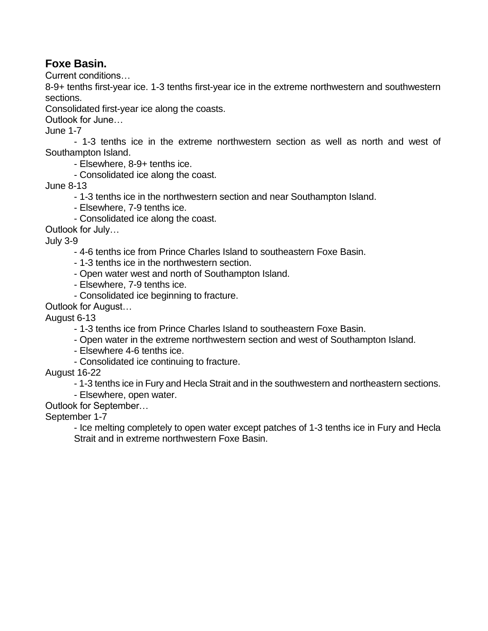#### **Foxe Basin.**

Current conditions…

8-9+ tenths first-year ice. 1-3 tenths first-year ice in the extreme northwestern and southwestern sections.

Consolidated first-year ice along the coasts.

Outlook for June…

June 1-7

- 1-3 tenths ice in the extreme northwestern section as well as north and west of Southampton Island.

- Elsewhere, 8-9+ tenths ice.

- Consolidated ice along the coast.

June 8-13

- 1-3 tenths ice in the northwestern section and near Southampton Island.
- Elsewhere, 7-9 tenths ice.
- Consolidated ice along the coast.

Outlook for July…

July 3-9

- 4-6 tenths ice from Prince Charles Island to southeastern Foxe Basin.
- 1-3 tenths ice in the northwestern section.
- Open water west and north of Southampton Island.
- Elsewhere, 7-9 tenths ice.
- Consolidated ice beginning to fracture.

Outlook for August…

August 6-13

- 1-3 tenths ice from Prince Charles Island to southeastern Foxe Basin.
- Open water in the extreme northwestern section and west of Southampton Island.
- Elsewhere 4-6 tenths ice.
- Consolidated ice continuing to fracture.

August 16-22

- 1-3 tenths ice in Fury and Hecla Strait and in the southwestern and northeastern sections.
- Elsewhere, open water.
- Outlook for September…

September 1-7

- Ice melting completely to open water except patches of 1-3 tenths ice in Fury and Hecla Strait and in extreme northwestern Foxe Basin.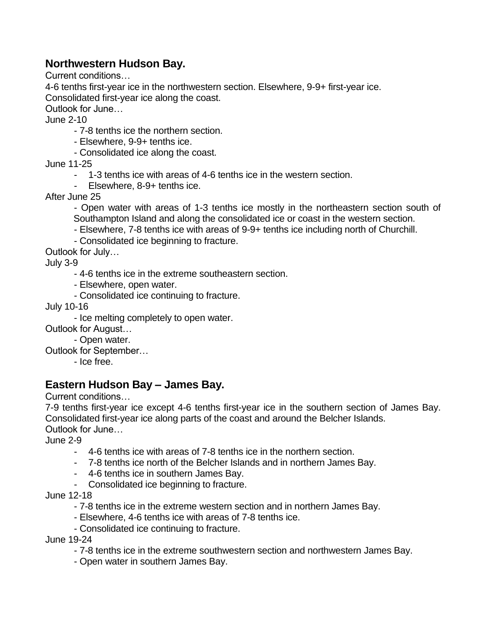#### **Northwestern Hudson Bay.**

Current conditions…

4-6 tenths first-year ice in the northwestern section. Elsewhere, 9-9+ first-year ice.

Consolidated first-year ice along the coast.

Outlook for June…

June 2-10

- 7-8 tenths ice the northern section.
- Elsewhere, 9-9+ tenths ice.
- Consolidated ice along the coast.

June 11-25

- 1-3 tenths ice with areas of 4-6 tenths ice in the western section.
- Elsewhere, 8-9+ tenths ice.

After June 25

- Open water with areas of 1-3 tenths ice mostly in the northeastern section south of Southampton Island and along the consolidated ice or coast in the western section.

- Elsewhere, 7-8 tenths ice with areas of 9-9+ tenths ice including north of Churchill.
- Consolidated ice beginning to fracture.

Outlook for July…

July 3-9

- 4-6 tenths ice in the extreme southeastern section.
- Elsewhere, open water.
- Consolidated ice continuing to fracture.

July 10-16

- Ice melting completely to open water.

Outlook for August…

- Open water.

Outlook for September…

- Ice free.

#### **Eastern Hudson Bay – James Bay.**

Current conditions…

7-9 tenths first-year ice except 4-6 tenths first-year ice in the southern section of James Bay. Consolidated first-year ice along parts of the coast and around the Belcher Islands.

Outlook for June…

June 2-9

- 4-6 tenths ice with areas of 7-8 tenths ice in the northern section.
- 7-8 tenths ice north of the Belcher Islands and in northern James Bay.
- 4-6 tenths ice in southern James Bay.
- Consolidated ice beginning to fracture.

June 12-18

- 7-8 tenths ice in the extreme western section and in northern James Bay.
- Elsewhere, 4-6 tenths ice with areas of 7-8 tenths ice.
- Consolidated ice continuing to fracture.

June 19-24

- 7-8 tenths ice in the extreme southwestern section and northwestern James Bay.
- Open water in southern James Bay.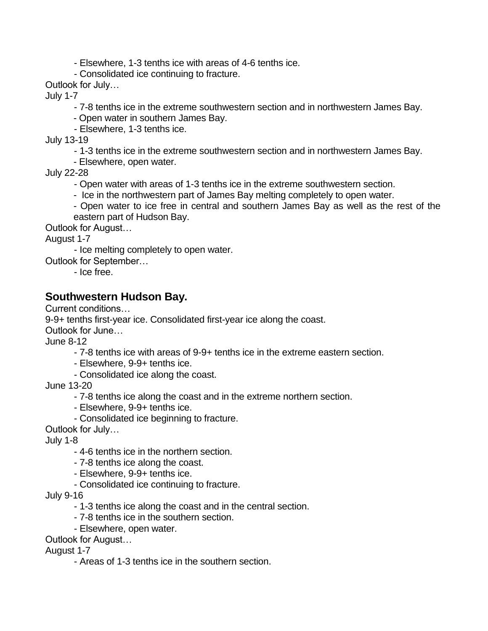- Elsewhere, 1-3 tenths ice with areas of 4-6 tenths ice.

- Consolidated ice continuing to fracture.

Outlook for July…

July 1-7

- 7-8 tenths ice in the extreme southwestern section and in northwestern James Bay.

- Open water in southern James Bay.

- Elsewhere, 1-3 tenths ice.

July 13-19

- 1-3 tenths ice in the extreme southwestern section and in northwestern James Bay.

- Elsewhere, open water.

July 22-28

- Open water with areas of 1-3 tenths ice in the extreme southwestern section.

- Ice in the northwestern part of James Bay melting completely to open water.

- Open water to ice free in central and southern James Bay as well as the rest of the eastern part of Hudson Bay.

Outlook for August…

August 1-7

- Ice melting completely to open water.

Outlook for September…

- Ice free.

#### **Southwestern Hudson Bay.**

Current conditions…

9-9+ tenths first-year ice. Consolidated first-year ice along the coast.

Outlook for June…

June 8-12

- 7-8 tenths ice with areas of 9-9+ tenths ice in the extreme eastern section.

- Elsewhere, 9-9+ tenths ice.
- Consolidated ice along the coast.

June 13-20

- 7-8 tenths ice along the coast and in the extreme northern section.

- Elsewhere, 9-9+ tenths ice.

- Consolidated ice beginning to fracture.

Outlook for July…

July 1-8

- 4-6 tenths ice in the northern section.
- 7-8 tenths ice along the coast.
- Elsewhere, 9-9+ tenths ice.
- Consolidated ice continuing to fracture.

July 9-16

- 1-3 tenths ice along the coast and in the central section.
- 7-8 tenths ice in the southern section.
- Elsewhere, open water.

Outlook for August…

August 1-7

- Areas of 1-3 tenths ice in the southern section.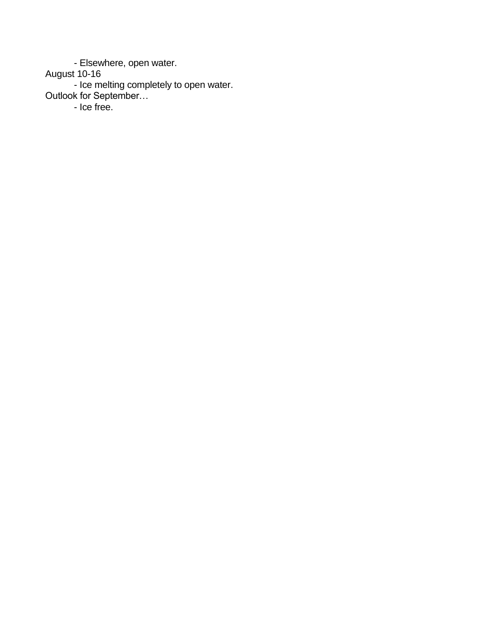- Elsewhere, open water.

August 10-16

- Ice melting completely to open water. Outlook for September…

- Ice free.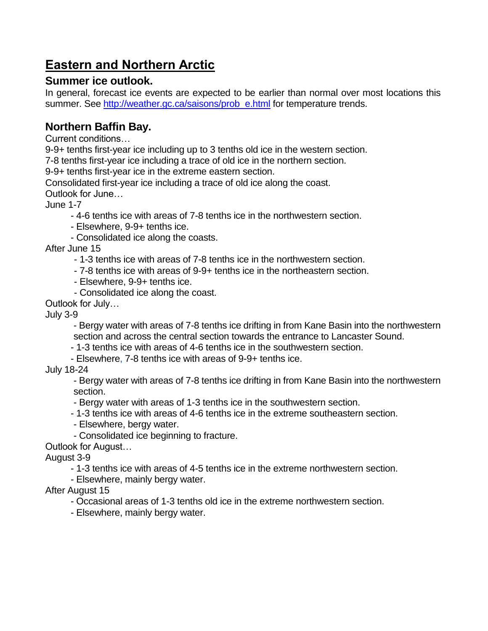# **Eastern and Northern Arctic**

#### **Summer ice outlook.**

In general, forecast ice events are expected to be earlier than normal over most locations this summer. See [http://weather.gc.ca/saisons/prob\\_e.html](http://weather.gc.ca/saisons/prob_e.html) for temperature trends.

## **Northern Baffin Bay.**

Current conditions…

9-9+ tenths first-year ice including up to 3 tenths old ice in the western section.

7-8 tenths first-year ice including a trace of old ice in the northern section.

9-9+ tenths first-year ice in the extreme eastern section.

Consolidated first-year ice including a trace of old ice along the coast.

Outlook for June…

June 1-7

- 4-6 tenths ice with areas of 7-8 tenths ice in the northwestern section.
- Elsewhere, 9-9+ tenths ice.
- Consolidated ice along the coasts.

After June 15

- 1-3 tenths ice with areas of 7-8 tenths ice in the northwestern section.
- 7-8 tenths ice with areas of 9-9+ tenths ice in the northeastern section.
- Elsewhere, 9-9+ tenths ice.
- Consolidated ice along the coast.

Outlook for July…

July 3-9

- Bergy water with areas of 7-8 tenths ice drifting in from Kane Basin into the northwestern section and across the central section towards the entrance to Lancaster Sound.

- 1-3 tenths ice with areas of 4-6 tenths ice in the southwestern section.
- Elsewhere, 7-8 tenths ice with areas of 9-9+ tenths ice.

July 18-24

- Bergy water with areas of 7-8 tenths ice drifting in from Kane Basin into the northwestern section.

- Bergy water with areas of 1-3 tenths ice in the southwestern section.

- 1-3 tenths ice with areas of 4-6 tenths ice in the extreme southeastern section.

- Elsewhere, bergy water.
- Consolidated ice beginning to fracture.

Outlook for August…

August 3-9

- 1-3 tenths ice with areas of 4-5 tenths ice in the extreme northwestern section.
- Elsewhere, mainly bergy water.

#### After August 15

- Occasional areas of 1-3 tenths old ice in the extreme northwestern section.
- Elsewhere, mainly bergy water.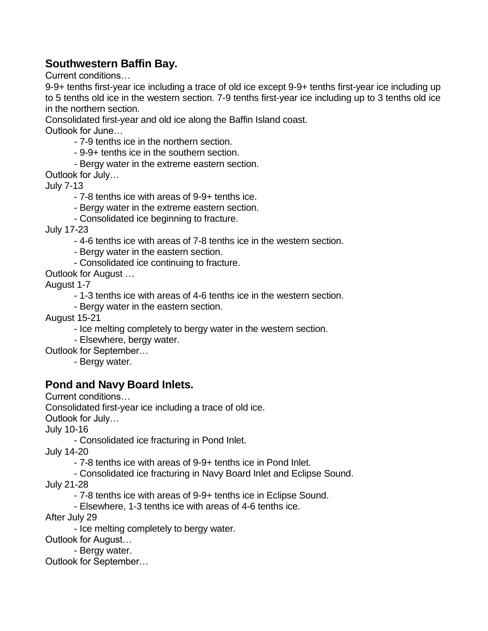#### **Southwestern Baffin Bay.**

Current conditions…

9-9+ tenths first-year ice including a trace of old ice except 9-9+ tenths first-year ice including up to 5 tenths old ice in the western section. 7-9 tenths first-year ice including up to 3 tenths old ice in the northern section.

Consolidated first-year and old ice along the Baffin Island coast.

Outlook for June…

- 7-9 tenths ice in the northern section.

- 9-9+ tenths ice in the southern section.

- Bergy water in the extreme eastern section.

Outlook for July…

July 7-13

- 7-8 tenths ice with areas of 9-9+ tenths ice.

- Bergy water in the extreme eastern section.

- Consolidated ice beginning to fracture.

July 17-23

- 4-6 tenths ice with areas of 7-8 tenths ice in the western section.

- Bergy water in the eastern section.

- Consolidated ice continuing to fracture.

Outlook for August …

August 1-7

- 1-3 tenths ice with areas of 4-6 tenths ice in the western section.

- Bergy water in the eastern section.

August 15-21

- Ice melting completely to bergy water in the western section.

- Elsewhere, bergy water.

- Outlook for September…
	- Bergy water.

#### **Pond and Navy Board Inlets.**

Current conditions…

Consolidated first-year ice including a trace of old ice.

Outlook for July…

July 10-16

- Consolidated ice fracturing in Pond Inlet.

July 14-20

- 7-8 tenths ice with areas of 9-9+ tenths ice in Pond Inlet.

- Consolidated ice fracturing in Navy Board Inlet and Eclipse Sound.

July 21-28

- 7-8 tenths ice with areas of 9-9+ tenths ice in Eclipse Sound.

- Elsewhere, 1-3 tenths ice with areas of 4-6 tenths ice.

After July 29

- Ice melting completely to bergy water.

Outlook for August…

- Bergy water.

Outlook for September…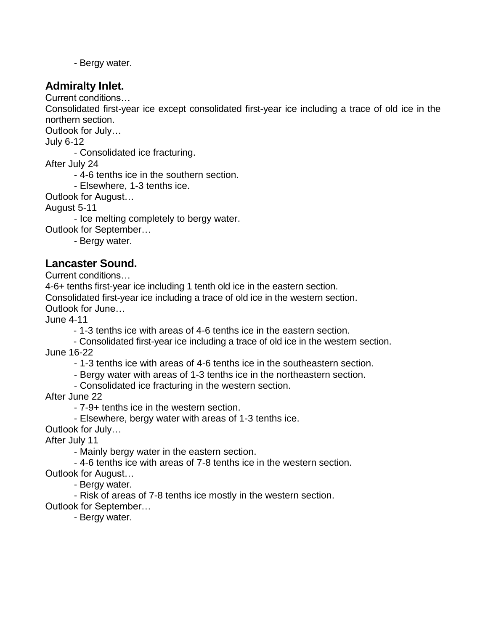- Bergy water.

#### **Admiralty Inlet.**

Current conditions…

Consolidated first-year ice except consolidated first-year ice including a trace of old ice in the northern section.

Outlook for July…

July 6-12

- Consolidated ice fracturing.

After July 24

- 4-6 tenths ice in the southern section.

- Elsewhere, 1-3 tenths ice.

Outlook for August…

August 5-11

- Ice melting completely to bergy water.

Outlook for September…

- Bergy water.

**Lancaster Sound.**

Current conditions…

4-6+ tenths first-year ice including 1 tenth old ice in the eastern section.

Consolidated first-year ice including a trace of old ice in the western section.

Outlook for June…

June 4-11

- 1-3 tenths ice with areas of 4-6 tenths ice in the eastern section.

- Consolidated first-year ice including a trace of old ice in the western section. June 16-22

- 1-3 tenths ice with areas of 4-6 tenths ice in the southeastern section.

- Bergy water with areas of 1-3 tenths ice in the northeastern section.

- Consolidated ice fracturing in the western section.

After June 22

- 7-9+ tenths ice in the western section.

- Elsewhere, bergy water with areas of 1-3 tenths ice.

Outlook for July…

After July 11

- Mainly bergy water in the eastern section.

- 4-6 tenths ice with areas of 7-8 tenths ice in the western section.

Outlook for August…

- Bergy water.

- Risk of areas of 7-8 tenths ice mostly in the western section.

Outlook for September…

- Bergy water.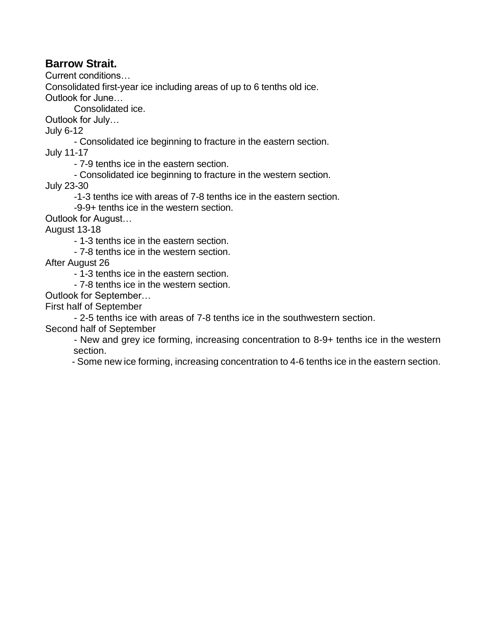#### **Barrow Strait.**

Current conditions…

Consolidated first-year ice including areas of up to 6 tenths old ice.

Outlook for June…

Consolidated ice.

Outlook for July…

July 6-12

- Consolidated ice beginning to fracture in the eastern section. July 11-17

- 7-9 tenths ice in the eastern section.

- Consolidated ice beginning to fracture in the western section.

July 23-30

-1-3 tenths ice with areas of 7-8 tenths ice in the eastern section.

-9-9+ tenths ice in the western section.

Outlook for August…

August 13-18

- 1-3 tenths ice in the eastern section.

- 7-8 tenths ice in the western section.

After August 26

- 1-3 tenths ice in the eastern section.

- 7-8 tenths ice in the western section.

Outlook for September…

First half of September

- 2-5 tenths ice with areas of 7-8 tenths ice in the southwestern section.

Second half of September

- New and grey ice forming, increasing concentration to 8-9+ tenths ice in the western section.

- Some new ice forming, increasing concentration to 4-6 tenths ice in the eastern section.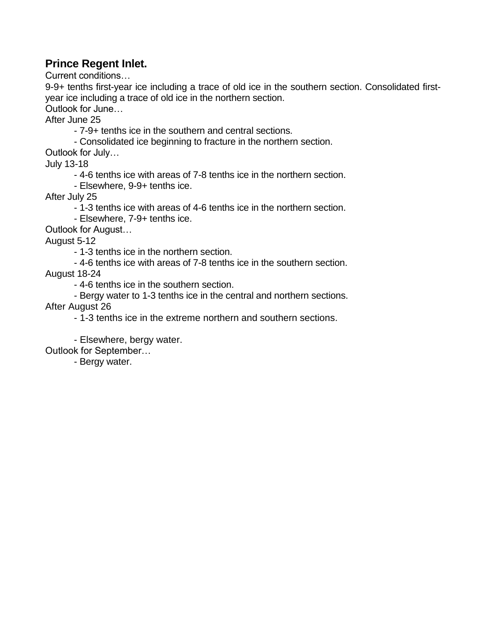#### **Prince Regent Inlet.**

Current conditions…

9-9+ tenths first-year ice including a trace of old ice in the southern section. Consolidated firstyear ice including a trace of old ice in the northern section.

Outlook for June…

After June 25

- 7-9+ tenths ice in the southern and central sections.

- Consolidated ice beginning to fracture in the northern section.

Outlook for July…

July 13-18

- 4-6 tenths ice with areas of 7-8 tenths ice in the northern section.

- Elsewhere, 9-9+ tenths ice.

After July 25

- 1-3 tenths ice with areas of 4-6 tenths ice in the northern section.

- Elsewhere, 7-9+ tenths ice.

Outlook for August…

August 5-12

- 1-3 tenths ice in the northern section.

- 4-6 tenths ice with areas of 7-8 tenths ice in the southern section.

August 18-24

- 4-6 tenths ice in the southern section.

- Bergy water to 1-3 tenths ice in the central and northern sections.

After August 26

- 1-3 tenths ice in the extreme northern and southern sections.

- Elsewhere, bergy water.

Outlook for September…

- Bergy water.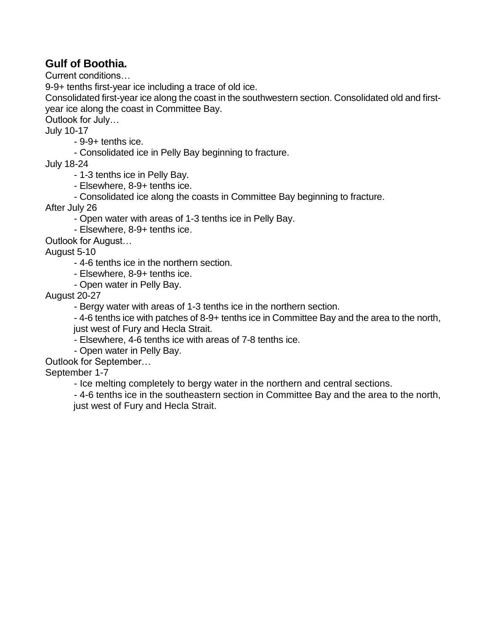#### **Gulf of Boothia.**

Current conditions…

9-9+ tenths first-year ice including a trace of old ice.

Consolidated first-year ice along the coast in the southwestern section. Consolidated old and firstyear ice along the coast in Committee Bay.

Outlook for July…

July 10-17

- 9-9+ tenths ice.
- Consolidated ice in Pelly Bay beginning to fracture.

July 18-24

- 1-3 tenths ice in Pelly Bay.

- Elsewhere, 8-9+ tenths ice.
- Consolidated ice along the coasts in Committee Bay beginning to fracture.

After July 26

- Open water with areas of 1-3 tenths ice in Pelly Bay.

- Elsewhere, 8-9+ tenths ice.

Outlook for August…

August 5-10

- 4-6 tenths ice in the northern section.

- Elsewhere, 8-9+ tenths ice.

- Open water in Pelly Bay.

August 20-27

- Bergy water with areas of 1-3 tenths ice in the northern section.

- 4-6 tenths ice with patches of 8-9+ tenths ice in Committee Bay and the area to the north, just west of Fury and Hecla Strait.

- Elsewhere, 4-6 tenths ice with areas of 7-8 tenths ice.

- Open water in Pelly Bay.

Outlook for September…

September 1-7

- Ice melting completely to bergy water in the northern and central sections.

- 4-6 tenths ice in the southeastern section in Committee Bay and the area to the north, just west of Fury and Hecla Strait.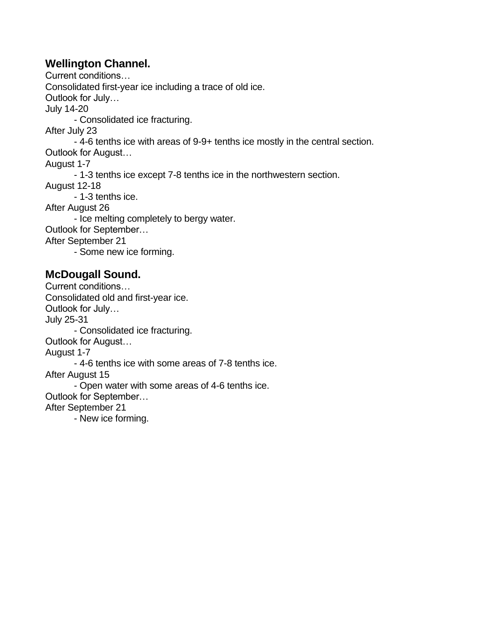#### **Wellington Channel.**

Current conditions… Consolidated first-year ice including a trace of old ice. Outlook for July… July 14-20 - Consolidated ice fracturing. After July 23 - 4-6 tenths ice with areas of 9-9+ tenths ice mostly in the central section. Outlook for August… August 1-7 - 1-3 tenths ice except 7-8 tenths ice in the northwestern section. August 12-18 - 1-3 tenths ice. After August 26 - Ice melting completely to bergy water. Outlook for September… After September 21 - Some new ice forming. **McDougall Sound.**

Current conditions… Consolidated old and first-year ice. Outlook for July… July 25-31 - Consolidated ice fracturing. Outlook for August… August 1-7 - 4-6 tenths ice with some areas of 7-8 tenths ice. After August 15 - Open water with some areas of 4-6 tenths ice. Outlook for September… After September 21 - New ice forming.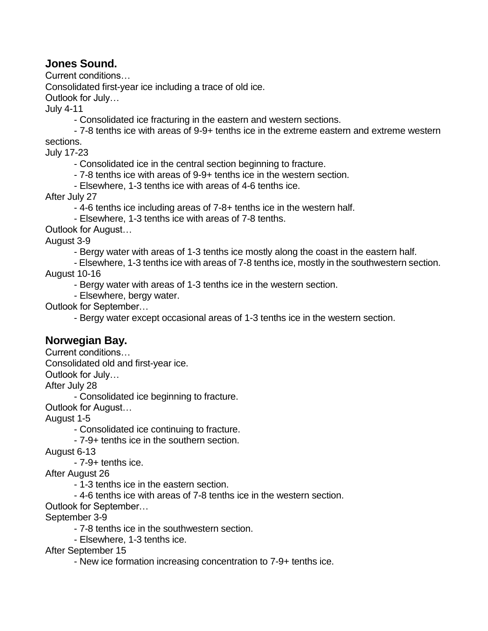#### **Jones Sound.**

Current conditions…

Consolidated first-year ice including a trace of old ice.

Outlook for July…

July 4-11

- Consolidated ice fracturing in the eastern and western sections.
- 7-8 tenths ice with areas of 9-9+ tenths ice in the extreme eastern and extreme western

sections.

July 17-23

- Consolidated ice in the central section beginning to fracture.
- 7-8 tenths ice with areas of 9-9+ tenths ice in the western section.
- Elsewhere, 1-3 tenths ice with areas of 4-6 tenths ice.

After July 27

- 4-6 tenths ice including areas of 7-8+ tenths ice in the western half.

- Elsewhere, 1-3 tenths ice with areas of 7-8 tenths.

Outlook for August…

August 3-9

- Bergy water with areas of 1-3 tenths ice mostly along the coast in the eastern half.
- Elsewhere, 1-3 tenths ice with areas of 7-8 tenths ice, mostly in the southwestern section.

August 10-16

- Bergy water with areas of 1-3 tenths ice in the western section.
- Elsewhere, bergy water.

Outlook for September…

- Bergy water except occasional areas of 1-3 tenths ice in the western section.

#### **Norwegian Bay.**

Current conditions…

Consolidated old and first-year ice.

Outlook for July…

After July 28

- Consolidated ice beginning to fracture.

Outlook for August…

August 1-5

- Consolidated ice continuing to fracture.

- 7-9+ tenths ice in the southern section.

August 6-13

- 7-9+ tenths ice.

After August 26

- 1-3 tenths ice in the eastern section.

- 4-6 tenths ice with areas of 7-8 tenths ice in the western section.

Outlook for September…

September 3-9

- 7-8 tenths ice in the southwestern section.

- Elsewhere, 1-3 tenths ice.

After September 15

- New ice formation increasing concentration to 7-9+ tenths ice.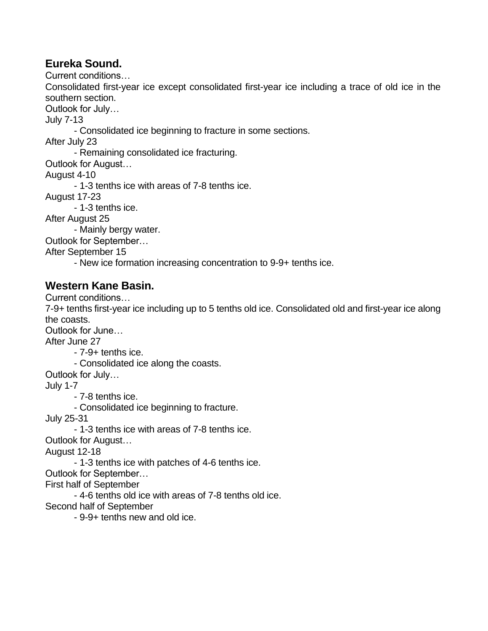#### **Eureka Sound.**

Current conditions…

Consolidated first-year ice except consolidated first-year ice including a trace of old ice in the southern section.

Outlook for July…

July 7-13

- Consolidated ice beginning to fracture in some sections.

After July 23

- Remaining consolidated ice fracturing.

Outlook for August…

August 4-10

- 1-3 tenths ice with areas of 7-8 tenths ice.

August 17-23

- 1-3 tenths ice.

After August 25

- Mainly bergy water.

Outlook for September…

After September 15

- New ice formation increasing concentration to 9-9+ tenths ice.

#### **Western Kane Basin.**

Current conditions…

7-9+ tenths first-year ice including up to 5 tenths old ice. Consolidated old and first-year ice along the coasts.

Outlook for June…

After June 27

- 7-9+ tenths ice.

- Consolidated ice along the coasts.

Outlook for July…

July 1-7

- 7-8 tenths ice.

- Consolidated ice beginning to fracture.

July 25-31

- 1-3 tenths ice with areas of 7-8 tenths ice.

Outlook for August…

August 12-18

- 1-3 tenths ice with patches of 4-6 tenths ice.

Outlook for September…

First half of September

- 4-6 tenths old ice with areas of 7-8 tenths old ice.

Second half of September

- 9-9+ tenths new and old ice.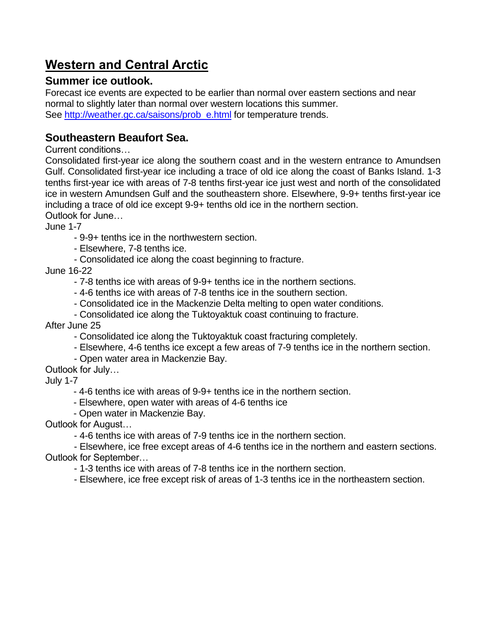# **Western and Central Arctic**

#### **Summer ice outlook.**

Forecast ice events are expected to be earlier than normal over eastern sections and near normal to slightly later than normal over western locations this summer. See [http://weather.gc.ca/saisons/prob\\_e.html](http://weather.gc.ca/saisons/prob_e.html) for temperature trends.

#### **Southeastern Beaufort Sea.**

Current conditions…

Consolidated first-year ice along the southern coast and in the western entrance to Amundsen Gulf. Consolidated first-year ice including a trace of old ice along the coast of Banks Island. 1-3 tenths first-year ice with areas of 7-8 tenths first-year ice just west and north of the consolidated ice in western Amundsen Gulf and the southeastern shore. Elsewhere, 9-9+ tenths first-year ice including a trace of old ice except 9-9+ tenths old ice in the northern section.

Outlook for June…

June 1-7

- 9-9+ tenths ice in the northwestern section.

- Elsewhere, 7-8 tenths ice.

- Consolidated ice along the coast beginning to fracture.

June 16-22

- 7-8 tenths ice with areas of 9-9+ tenths ice in the northern sections.

- 4-6 tenths ice with areas of 7-8 tenths ice in the southern section.
- Consolidated ice in the Mackenzie Delta melting to open water conditions.
- Consolidated ice along the Tuktoyaktuk coast continuing to fracture.

After June 25

- Consolidated ice along the Tuktoyaktuk coast fracturing completely.
- Elsewhere, 4-6 tenths ice except a few areas of 7-9 tenths ice in the northern section.
- Open water area in Mackenzie Bay.
- Outlook for July…

July 1-7

- 4-6 tenths ice with areas of 9-9+ tenths ice in the northern section.
- Elsewhere, open water with areas of 4-6 tenths ice
- Open water in Mackenzie Bay.

Outlook for August…

- 4-6 tenths ice with areas of 7-9 tenths ice in the northern section.

- Elsewhere, ice free except areas of 4-6 tenths ice in the northern and eastern sections. Outlook for September…

- 1-3 tenths ice with areas of 7-8 tenths ice in the northern section.

- Elsewhere, ice free except risk of areas of 1-3 tenths ice in the northeastern section.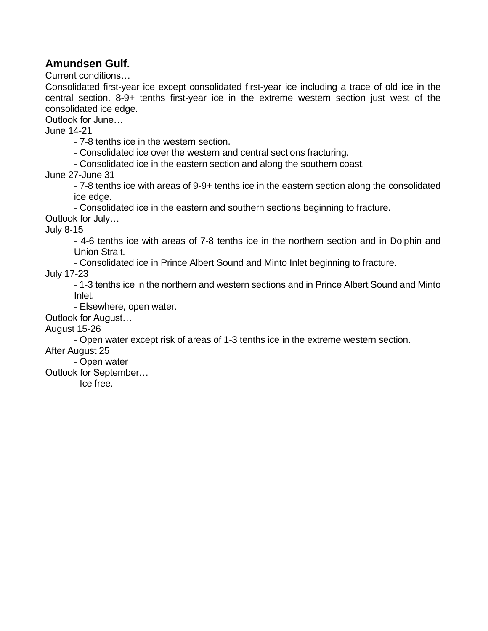#### **Amundsen Gulf.**

Current conditions…

Consolidated first-year ice except consolidated first-year ice including a trace of old ice in the central section. 8-9+ tenths first-year ice in the extreme western section just west of the consolidated ice edge.

Outlook for June…

June 14-21

- 7-8 tenths ice in the western section.

- Consolidated ice over the western and central sections fracturing.

- Consolidated ice in the eastern section and along the southern coast.

June 27-June 31

- 7-8 tenths ice with areas of 9-9+ tenths ice in the eastern section along the consolidated ice edge.

- Consolidated ice in the eastern and southern sections beginning to fracture.

Outlook for July…

July 8-15

- 4-6 tenths ice with areas of 7-8 tenths ice in the northern section and in Dolphin and Union Strait.

- Consolidated ice in Prince Albert Sound and Minto Inlet beginning to fracture.

July 17-23

- 1-3 tenths ice in the northern and western sections and in Prince Albert Sound and Minto Inlet.

- Elsewhere, open water.

Outlook for August…

August 15-26

- Open water except risk of areas of 1-3 tenths ice in the extreme western section.

After August 25

- Open water

Outlook for September…

- Ice free.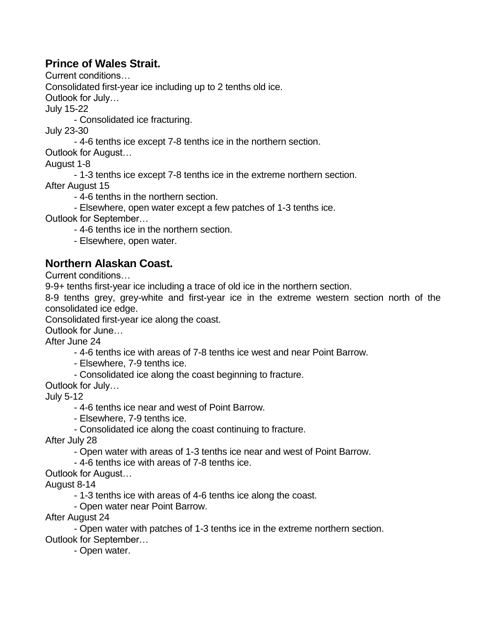#### **Prince of Wales Strait.**

Current conditions…

Consolidated first-year ice including up to 2 tenths old ice.

Outlook for July…

July 15-22

- Consolidated ice fracturing.

July 23-30

- 4-6 tenths ice except 7-8 tenths ice in the northern section.

Outlook for August…

August 1-8

- 1-3 tenths ice except 7-8 tenths ice in the extreme northern section.

After August 15

- 4-6 tenths in the northern section.

- Elsewhere, open water except a few patches of 1-3 tenths ice.

Outlook for September…

- 4-6 tenths ice in the northern section.

- Elsewhere, open water.

#### **Northern Alaskan Coast.**

Current conditions…

9-9+ tenths first-year ice including a trace of old ice in the northern section.

8-9 tenths grey, grey-white and first-year ice in the extreme western section north of the consolidated ice edge.

Consolidated first-year ice along the coast.

Outlook for June…

After June 24

- 4-6 tenths ice with areas of 7-8 tenths ice west and near Point Barrow.

- Elsewhere, 7-9 tenths ice.
- Consolidated ice along the coast beginning to fracture.

Outlook for July…

July 5-12

- 4-6 tenths ice near and west of Point Barrow.

- Elsewhere, 7-9 tenths ice.

- Consolidated ice along the coast continuing to fracture.

After July 28

- Open water with areas of 1-3 tenths ice near and west of Point Barrow.

- 4-6 tenths ice with areas of 7-8 tenths ice.

Outlook for August…

August 8-14

- 1-3 tenths ice with areas of 4-6 tenths ice along the coast.

- Open water near Point Barrow.

After August 24

- Open water with patches of 1-3 tenths ice in the extreme northern section. Outlook for September…

- Open water.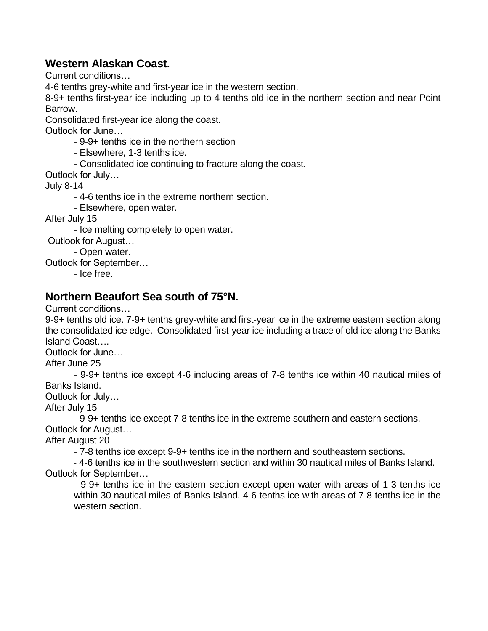#### **Western Alaskan Coast.**

Current conditions…

4-6 tenths grey-white and first-year ice in the western section.

8-9+ tenths first-year ice including up to 4 tenths old ice in the northern section and near Point Barrow.

Consolidated first-year ice along the coast.

Outlook for June…

- 9-9+ tenths ice in the northern section
- Elsewhere, 1-3 tenths ice.
- Consolidated ice continuing to fracture along the coast.

Outlook for July…

July 8-14

- 4-6 tenths ice in the extreme northern section.

- Elsewhere, open water.

After July 15

- Ice melting completely to open water.

Outlook for August…

- Open water.

Outlook for September…

- Ice free.

#### **Northern Beaufort Sea south of 75°N.**

Current conditions…

9-9+ tenths old ice. 7-9+ tenths grey-white and first-year ice in the extreme eastern section along the consolidated ice edge. Consolidated first-year ice including a trace of old ice along the Banks Island Coast….

Outlook for June…

After June 25

- 9-9+ tenths ice except 4-6 including areas of 7-8 tenths ice within 40 nautical miles of Banks Island.

Outlook for July…

After July 15

- 9-9+ tenths ice except 7-8 tenths ice in the extreme southern and eastern sections. Outlook for August…

After August 20

- 7-8 tenths ice except 9-9+ tenths ice in the northern and southeastern sections.

- 4-6 tenths ice in the southwestern section and within 30 nautical miles of Banks Island. Outlook for September…

- 9-9+ tenths ice in the eastern section except open water with areas of 1-3 tenths ice within 30 nautical miles of Banks Island. 4-6 tenths ice with areas of 7-8 tenths ice in the western section.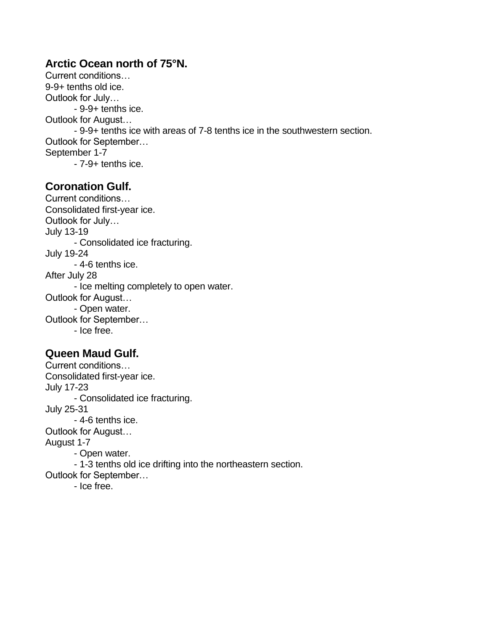#### **Arctic Ocean north of 75°N.**

Current conditions… 9-9+ tenths old ice. Outlook for July… - 9-9+ tenths ice. Outlook for August… - 9-9+ tenths ice with areas of 7-8 tenths ice in the southwestern section. Outlook for September… September 1-7 - 7-9+ tenths ice.

#### **Coronation Gulf.**

Current conditions… Consolidated first-year ice. Outlook for July… July 13-19 - Consolidated ice fracturing. July 19-24 - 4-6 tenths ice. After July 28 - Ice melting completely to open water. Outlook for August… - Open water. Outlook for September… - Ice free.

#### **Queen Maud Gulf.**

Current conditions… Consolidated first-year ice. July 17-23 - Consolidated ice fracturing. July 25-31 - 4-6 tenths ice. Outlook for August… August 1-7 - Open water. - 1-3 tenths old ice drifting into the northeastern section. Outlook for September… - Ice free.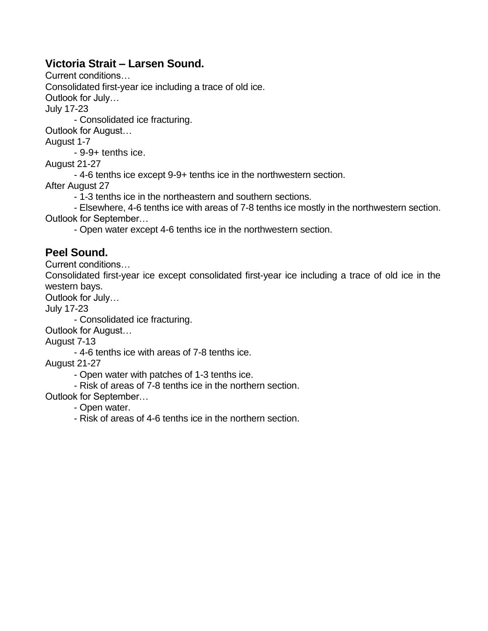#### **Victoria Strait – Larsen Sound.**

Current conditions…

Consolidated first-year ice including a trace of old ice.

Outlook for July…

July 17-23

- Consolidated ice fracturing.

Outlook for August…

August 1-7

- 9-9+ tenths ice.

August 21-27

- 4-6 tenths ice except 9-9+ tenths ice in the northwestern section.

After August 27

- 1-3 tenths ice in the northeastern and southern sections.

- Elsewhere, 4-6 tenths ice with areas of 7-8 tenths ice mostly in the northwestern section. Outlook for September…

- Open water except 4-6 tenths ice in the northwestern section.

#### **Peel Sound.**

Current conditions…

Consolidated first-year ice except consolidated first-year ice including a trace of old ice in the western bays.

Outlook for July…

July 17-23

- Consolidated ice fracturing.

Outlook for August…

August 7-13

- 4-6 tenths ice with areas of 7-8 tenths ice.

August 21-27

- Open water with patches of 1-3 tenths ice.

- Risk of areas of 7-8 tenths ice in the northern section.

Outlook for September…

- Open water.

- Risk of areas of 4-6 tenths ice in the northern section.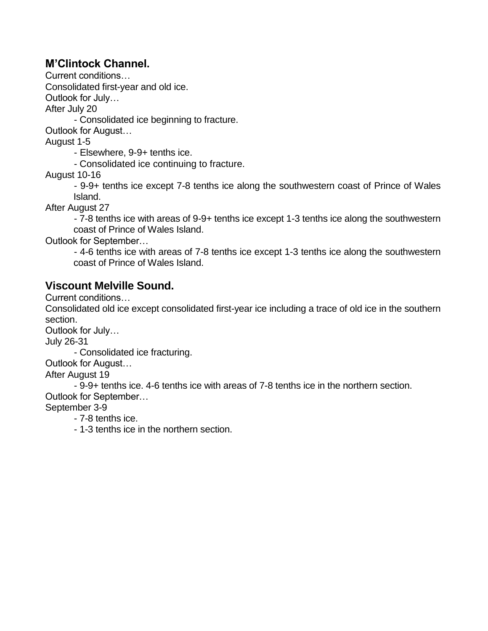#### **M'Clintock Channel.**

Current conditions…

Consolidated first-year and old ice.

Outlook for July…

After July 20

- Consolidated ice beginning to fracture.

Outlook for August…

August 1-5

- Elsewhere, 9-9+ tenths ice.

- Consolidated ice continuing to fracture.

August 10-16

- 9-9+ tenths ice except 7-8 tenths ice along the southwestern coast of Prince of Wales Island.

After August 27

- 7-8 tenths ice with areas of 9-9+ tenths ice except 1-3 tenths ice along the southwestern coast of Prince of Wales Island.

Outlook for September…

- 4-6 tenths ice with areas of 7-8 tenths ice except 1-3 tenths ice along the southwestern coast of Prince of Wales Island.

#### **Viscount Melville Sound.**

Current conditions…

Consolidated old ice except consolidated first-year ice including a trace of old ice in the southern section.

Outlook for July…

July 26-31

- Consolidated ice fracturing.

Outlook for August…

After August 19

- 9-9+ tenths ice. 4-6 tenths ice with areas of 7-8 tenths ice in the northern section. Outlook for September…

September 3-9

- 7-8 tenths ice.

- 1-3 tenths ice in the northern section.